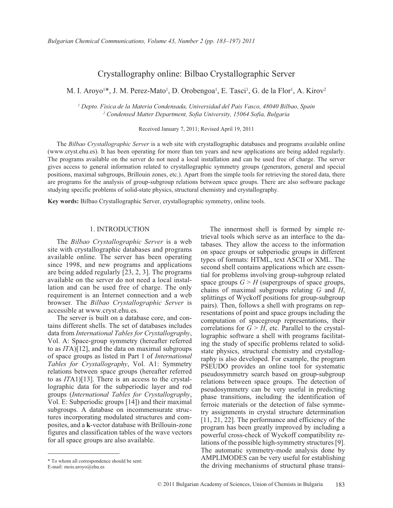# Crystallography online: Bilbao Crystallographic Server

M. I. Aroyo<sup>1\*</sup>, J. M. Perez-Mato<sup>1</sup>, D. Orobengoa<sup>1</sup>, E. Tasci<sup>1</sup>, G. de la Flor<sup>1</sup>, A. Kirov<sup>2</sup>

*1 Depto. Fisica de la Materia Condensada, Universidad del Pais Vasco, 48040 Bilbao, Spain 2 Condensed Matter Department, Sofia University, 15064 Sofia, Bulgaria*

Received January 7, 2011; Revised April 19, 2011

The *Bilbao Crystallographic Server* is a web site with crystallographic databases and programs available online (www.cryst.ehu.es). It has been operating for more than ten years and new applications are being added regularly. The programs available on the server do not need a local installation and can be used free of charge. The server gives access to general information related to crystallographic symmetry groups (generators, general and special positions, maximal subgroups, Brillouin zones, etc.). Apart from the simple tools for retrieving the stored data, there are programs for the analysis of group-subgroup relations between space groups. There are also software package studying specific problems of solid-state physics, structural chemistry and crystallography.

**Key words:** Bilbao Crystallographic Server, crystallographic symmetry, online tools.

#### 1. INTRODUCTION

The *Bilbao Crystallographic Server* is a web site with crystallographic databases and programs available online. The server has been operating since 1998, and new programs and applications are being added regularly [23, 2, 3]. The programs available on the server do not need a local installation and can be used free of charge. The only requirement is an Internet connection and a web browser. The *Bilbao Crystallographic Server* is accessible at www.cryst.ehu.es.

The server is built on a database core, and contains different shells. The set of databases includes data from *International Tables for Crystallography*, Vol. A: Space-group symmetry (hereafter referred to as *IT*A)[12], and the data on maximal subgroups of space groups as listed in Part 1 of *International Tables for Crystallography*, Vol. A1: Symmetry relations between space groups (hereafter referred to as *IT*A1)[13]. There is an access to the crystallographic data for the subperiodic layer and rod groups (*International Tables for Crystallography*, Vol. E: Subperiodic groups [14]) and their maximal subgroups. A database on incommensurate structures incorporating modulated structures and composites, and a **k**-vector database with Brillouin-zone figures and classification tables of the wave vectors for all space groups are also available.

pairs). Then, follows a shell with programs on representations of point and space groups including the computation of spacegroup representations, their correlations for  $G > H$ , etc. Parallel to the crystallographic software a shell with programs facilitating the study of specific problems related to solidstate physics, structural chemistry and crystallography is also developed. For example, the program PSEUDO provides an online tool for systematic pseudosymmetry search based on group-subgroup relations between space groups. The detection of pseudosymmetry can be very useful in predicting phase transitions, including the identification of ferroic materials or the detection of false symmetry assignments in crystal structure determination [11, 21, 22]. The performance and efficiency of the program has been greatly improved by including a powerful cross-check of Wyckoff compatibility relations of the possible high-symmetry structures [9]. The automatic symmetry-mode analysis done by AMPLIMODES can be very useful for establishing the driving mechanisms of structural phase transi-

The innermost shell is formed by simple retrieval tools which serve as an interface to the databases. They allow the access to the information on space groups or subperiodic groups in different types of formats: HTML, text ASCII or XML. The second shell contains applications which are essential for problems involving group-subgroup related space groups  $G \geq H$  (supergroups of space groups, chains of maximal subgroups relating *G* and *H*, splittings of Wyckoff positions for group-subgroup

<sup>\*</sup> To whom all correspondence should be sent:

E-mail: mois.aroyo@ehu.es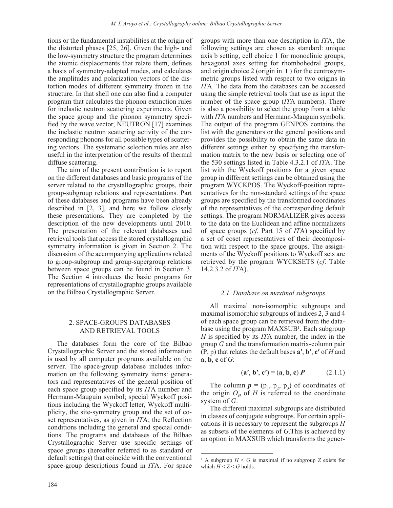tions or the fundamental instabilities at the origin of the distorted phases [25, 26]. Given the high- and the low-symmetry structure the program determines the atomic displacements that relate them, defines a basis of symmetry-adapted modes, and calculates the amplitudes and polarization vectors of the distortion modes of different symmetry frozen in the structure. In that shell one can also find a computer program that calculates the phonon extinction rules for inelastic neutron scattering experiments. Given the space group and the phonon symmetry specified by the wave vector, NEUTRON [17] examines the inelastic neutron scattering activity of the corresponding phonons for all possible types of scattering vectors. The systematic selection rules are also useful in the interpretation of the results of thermal diffuse scattering.

The aim of the present contribution is to report on the different databases and basic programs of the server related to the crystallographic groups, their group-subgroup relations and representations. Part of these databases and programs have been already described in [2, 3], and here we follow closely these presentations. They are completed by the description of the new developments until 2010. The presentation of the relevant databases and retrieval tools that access the stored crystallographic symmetry information is given in Section 2. The discussion of the accompanying applications related to group-subgroup and group-supergroup relations between space groups can be found in Section 3. The Section 4 introduces the basic programs for representations of crystallographic groups available on the Bilbao Crystallographic Server.

### 2. SPACE-GROUPS DATABASES AND RETRIEVAL TOOLS

The databases form the core of the Bilbao Crystallographic Server and the stored information is used by all computer programs available on the server. The space-group database includes information on the following symmetry items: generators and representatives of the general position of each space group specified by its *IT*A number and Hermann-Mauguin symbol; special Wyckoff positions including the Wyckoff letter, Wyckoff multiplicity, the site-symmetry group and the set of coset representatives, as given in *IT*A; the Reflection conditions including the general and special conditions. The programs and databases of the Bilbao Crystallographic Server use specific settings of space groups (hereafter referred to as standard or default settings) that coincide with the conventional space-group descriptions found in *IT*A. For space groups with more than one description in *IT*A, the following settings are chosen as standard: unique axis b setting, cell choice 1 for monoclinic groups, hexagonal axes setting for rhombohedral groups, and origin choice 2 (origin in  $\overline{1}$ ) for the centrosymmetric groups listed with respect to two origins in *IT*A. The data from the databases can be accessed using the simple retrieval tools that use as input the number of the space group (*IT*A numbers). There is also a possibility to select the group from a table with *IT*A numbers and Hermann-Mauguin symbols. The output of the program GENPOS contains the list with the generators or the general positions and provides the possibility to obtain the same data in different settings either by specifying the transformation matrix to the new basis or selecting one of the 530 settings listed in Table 4.3.2.1 of *IT*A. The list with the Wyckoff positions for a given space group in different settings can be obtained using the program WYCKPOS. The Wyckoff-position representatives for the non-standard settings of the space groups are specified by the transformed coordinates of the representatives of the corresponding default settings. The program NORMALIZER gives access to the data on the Euclidean and affine normalizers of space groups (*cf*. Part 15 of *IT*A) specified by a set of coset representatives of their decomposition with respect to the space groups. The assignments of the Wyckoff positions to Wyckoff sets are retrieved by the program WYCKSETS (*cf*. Table 14.2.3.2 of *IT*A).

#### *2.1. Database on maximal subgroups*

All maximal non-isomorphic subgroups and maximal isomorphic subgroups of indices 2, 3 and 4 of each space group can be retrieved from the database using the program MAXSUB<sup>1</sup>. Each subgroup *H* is specified by its *IT*A number, the index in the group *G* and the transformation matrix-column pair (P, p) that relates the default bases **a′**, **b′**, **c′** of *H* and **a**, **b**, **c** of *G*:

$$
(\mathbf{a}', \mathbf{b}', \mathbf{c}') = (\mathbf{a}, \mathbf{b}, \mathbf{c}) P \tag{2.1.1}
$$

The column  $p = (p_1, p_2, p_3)$  of coordinates of the origin  $O_H$  of *H* is referred to the coordinate system of *G*.

The different maximal subgroups are distributed in classes of conjugate subgroups. For certain applications it is necessary to represent the subgroups *H* as subsets of the elements of *G*.This is achieved by an option in MAXSUB which transforms the gener-

<sup>&</sup>lt;sup>1</sup> A subgroup  $H \leq G$  is maximal if no subgroup *Z* exists for which  $H < Z < G$  holds.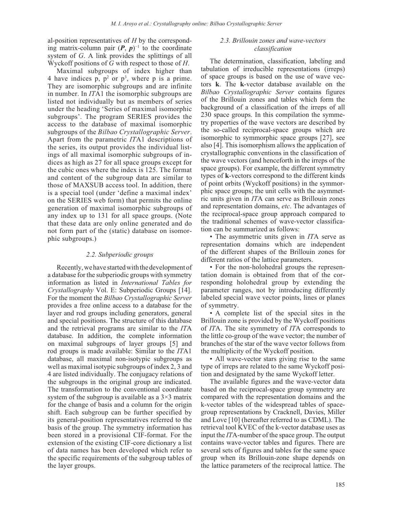al-position representatives of *H* by the corresponding matrix-column pair  $(P, p)^{-1}$  to the coordinate system of *G*. A link provides the splittings of all Wyckoff positions of *G* with respect to those of *H*.

Maximal subgroups of index higher than 4 have indices p,  $p^2$  or  $p^3$ , where p is a prime. They are isomorphic subgroups and are infinite in number. In *IT*A1 the isomorphic subgroups are listed not individually but as members of series under the heading 'Series of maximal isomorphic subgroups'. The program SERIES provides the access to the database of maximal isomorphic subgroups of the *Bilbao Crystallographic Server*. Apart from the parametric *IT*A1 descriptions of the series, its output provides the individual listings of all maximal isomorphic subgroups of indices as high as 27 for all space groups except for the cubic ones where the index is 125. The format and content of the subgroup data are similar to those of MAXSUB access tool. In addition, there is a special tool (under 'define a maximal index' on the SERIES web form) that permits the online generation of maximal isomorphic subgroups of any index up to 131 for all space groups. (Note that these data are only online generated and do not form part of the (static) database on isomorphic subgroups.)

#### *2.2. Subperiodic groups*

Recently, we have started with the development of a database for the subperiodic groups with symmetry information as listed in *International Tables for Crystallography* Vol. E: Subperiodic Groups [14]. For the moment the *Bilbao Crystallographic Server* provides a free online access to a database for the layer and rod groups including generators, general and special positions. The structure of this database and the retrieval programs are similar to the *IT*A database. In addition, the complete information on maximal subgroups of layer groups [5] and rod groups is made available: Similar to the *IT*A1 database, all maximal non-isotypic subgroups as well as maximal isotypic subgroups of index 2, 3 and 4 are listed individually. The conjugacy relations of the subgroups in the original group are indicated. The transformation to the conventional coordinate system of the subgroup is available as a  $3\times3$  matrix for the change of basis and a column for the origin shift. Each subgroup can be further specified by its general-position representatives referred to the basis of the group. The symmetry information has been stored in a provisional CIF-format. For the extension of the existing CIF-core dictionary a list of data names has been developed which refer to the specific requirements of the subgroup tables of the layer groups.

## *2.3. Brillouin zones and wave-vectors classification*

The determination, classification, labeling and tabulation of irreducible representations (irreps) of space groups is based on the use of wave vectors **k**. The **k**-vector database available on the *Bilbao Crystallographic Server* contains figures of the Brillouin zones and tables which form the background of a classification of the irreps of all 230 space groups. In this compilation the symmetry properties of the wave vectors are described by the so-called reciprocal-space groups which are isomorphic to symmorphic space groups [27], see also [4]. This isomorphism allows the application of crystallographic conventions in the classification of the wave vectors (and henceforth in the irreps of the space groups). For example, the different symmetry types of **k**-vectors correspond to the different kinds of point orbits (Wyckoff positions) in the symmorphic space groups; the unit cells with the asymmetric units given in *IT*A can serve as Brillouin zones and representation domains, *etc*. The advantages of the reciprocal-space group approach compared to the traditional schemes of wave-vector classification can be summarized as follows:

• The asymmetric units given in *IT*A serve as representation domains which are independent of the different shapes of the Brillouin zones for different ratios of the lattice parameters.

• For the non-holohedral groups the representation domain is obtained from that of the corresponding holohedral group by extending the parameter ranges, not by introducing differently labeled special wave vector points, lines or planes of symmetry.

• A complete list of the special sites in the Brillouin zone is provided by the Wyckoff positions of *IT*A. The site symmetry of *IT*A corresponds to the little co-group of the wave vector; the number of branches of the star of the wave vector follows from the multiplicity of the Wyckoff position.

• All wave-vector stars giving rise to the same type of irreps are related to the same Wyckoff position and designated by the same Wyckoff letter.

The available figures and the wave-vector data based on the reciprocal-space group symmetry are compared with the representation domains and the k-vector tables of the widespread tables of spacegroup representations by Cracknell, Davies, Miller and Love [10] (hereafter referred to as CDML). The retrieval tool KVEC of the k-vector database uses as input the *IT*A-number of the space group. The output contains wave-vector tables and figures. There are several sets of figures and tables for the same space group when its Brillouin-zone shape depends on the lattice parameters of the reciprocal lattice. The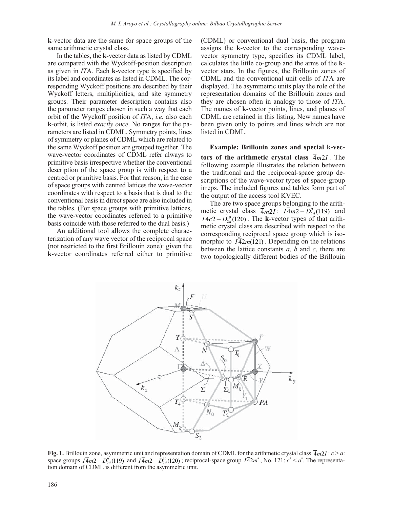**k**-vector data are the same for space groups of the same arithmetic crystal class.

In the tables, the **k**-vector data as listed by CDML are compared with the Wyckoff-position description as given in *IT*A. Each **k**-vector type is specified by its label and coordinates as listed in CDML. The corresponding Wyckoff positions are described by their Wyckoff letters, multiplicities, and site symmetry groups. Their parameter description contains also the parameter ranges chosen in such a way that each orbit of the Wyckoff position of *IT*A, *i.e.* also each **k**-orbit, is listed *exactly once*. No ranges for the parameters are listed in CDML. Symmetry points, lines of symmetry or planes of CDML which are related to the same Wyckoff position are grouped together. The wave-vector coordinates of CDML refer always to primitive basis irrespective whether the conventional description of the space group is with respect to a centred or primitive basis. For that reason, in the case of space groups with centred lattices the wave-vector coordinates with respect to a basis that is dual to the conventional basis in direct space are also included in the tables. (For space groups with primitive lattices, the wave-vector coordinates referred to a primitive basis coincide with those referred to the dual basis.)

An additional tool allows the complete characterization of any wave vector of the reciprocal space (not restricted to the first Brillouin zone): given the **k**-vector coordinates referred either to primitive (CDML) or conventional dual basis, the program assigns the **k**-vector to the corresponding wavevector symmetry type, specifies its CDML label, calculates the little co-group and the arms of the **k**vector stars. In the figures, the Brillouin zones of CDML and the conventional unit cells of *IT*A are displayed. The asymmetric units play the role of the representation domains of the Brillouin zones and they are chosen often in analogy to those of *IT*A. The names of **k**-vector points, lines, and planes of CDML are retained in this listing. New names have been given only to points and lines which are not listed in CDML.

#### **Example: Brillouin zones and special k-vec-**

**tors of the arithmetic crystal class**  $\overline{4m21}$ . The following example illustrates the relation between the traditional and the reciprocal-space group descriptions of the wave-vector types of space-group irreps. The included figures and tables form part of the output of the access tool KVEC.

The are two space groups belonging to the arithmetic crystal class  $\overline{4}m2I$ :  $I\overline{4}m2 - D_{2d}^{9}$  (119) and  $I\overline{4}c2 - D_{10}^{10}$  (120). The k-yector types of that arith- $I\overline{4}c2 - D_{2d}^{10}(120)$ . The k-vector types of that arithmetic crystal class are described with respect to the corresponding reciprocal space group which is isomorphic to  $I42m(121)$ . Depending on the relations between the lattice constants *a*, *b* and *c*, there are two topologically different bodies of the Brillouin



**Fig. 1.** Brillouin zone, asymmetric unit and representation domain of CDML for the arithmetic crystal class  $\overline{4}m21$ :  $c > a$ : space groups  $I\overline{4}m2 - D_{2d}^9(119)$  and  $I\overline{4}m2 - D_{2d}^{10}(120)$ ; reciprocal-space group  $I\overline{4}2m^*$ , No. 121:  $c^* < a^*$ . The representation domain of CDML is different from the asymmetric unit.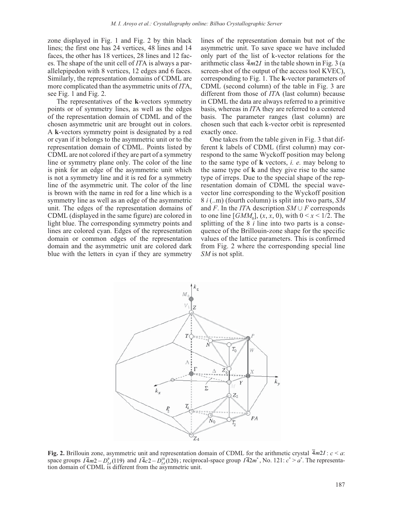zone displayed in Fig. 1 and Fig. 2 by thin black lines; the first one has 24 vertices, 48 lines and 14 faces, the other has 18 vertices, 28 lines and 12 faces. The shape of the unit cell of *IT*A is always a parallelepipedon with 8 vertices, 12 edges and 6 faces. Similarly, the representation domains of CDML are more complicated than the asymmetric units of *IT*A, see Fig. 1 and Fig. 2.

The representatives of the **k**-vectors symmetry points or of symmetry lines, as well as the edges of the representation domain of CDML and of the chosen asymmetric unit are brought out in colors. A **k**-vectors symmetry point is designated by a red or cyan if it belongs to the asymmetric unit or to the representation domain of CDML. Points listed by CDML are not colored if they are part of a symmetry line or symmetry plane only. The color of the line is pink for an edge of the asymmetric unit which is not a symmetry line and it is red for a symmetry line of the asymmetric unit. The color of the line is brown with the name in red for a line which is a symmetry line as well as an edge of the asymmetric unit. The edges of the representation domains of CDML (displayed in the same figure) are colored in light blue. The corresponding symmetry points and lines are colored cyan. Edges of the representation domain or common edges of the representation domain and the asymmetric unit are colored dark blue with the letters in cyan if they are symmetry lines of the representation domain but not of the asymmetric unit. To save space we have included only part of the list of k-vector relations for the arithmetic class  $\overline{4}m2I$  in the table shown in Fig. 3 (a screen-shot of the output of the access tool KVEC), corresponding to Fig. 1. The **k**-vector parameters of CDML (second column) of the table in Fig. 3 are different from those of *IT*A (last column) because in CDML the data are always referred to a primitive basis, whereas in *IT*A they are referred to a centered basis. The parameter ranges (last column) are chosen such that each k-vector orbit is represented exactly once.

One takes from the table given in Fig. 3 that different k labels of CDML (first column) may correspond to the same Wyckoff position may belong to the same type of **k** vectors, *i. e.* may belong to the same type of **k** and they give rise to the same type of irreps. Due to the special shape of the representation domain of CDML the special wavevector line corresponding to the Wyckoff position 8 *i* (..m) (fourth column) is split into two parts, *SM* and *F*. In the *IT*A description  $SM \cup F$  corresponds to one line [*GMM*<sub>0</sub>],  $(x, x, 0)$ , with  $0 \le x \le 1/2$ . The splitting of the 8 *i* line into two parts is a consequence of the Brillouin-zone shape for the specific values of the lattice parameters. This is confirmed from Fig. 2 where the corresponding special line *SM* is not split.



**Fig. 2.** Brillouin zone, asymmetric unit and representation domain of CDML for the arithmetic crystal  $4m2I : c < a$ : space groups  $I\overline{4}m2 - D_{2d}^9(119)$  and  $I\overline{4}c2 - D_{2d}^{10}(120)$ ; reciprocal-space group  $I\overline{4}2m^*$ , No. 121:  $c^* > a^*$ . The representation domain of CDML is different from the asymmetric unit.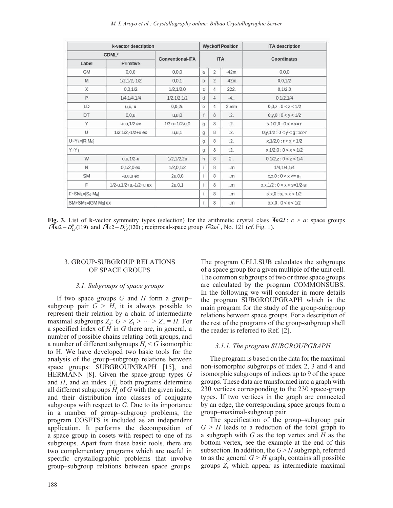| k-vector description      |                       |                           |              |                | <b>Wyckoff Position</b> | <b>ITA</b> description        |  |
|---------------------------|-----------------------|---------------------------|--------------|----------------|-------------------------|-------------------------------|--|
| CDML*<br>Conventional-ITA |                       |                           |              |                |                         | Coordinates                   |  |
| Label<br>Primitive        |                       |                           | <b>ITA</b>   |                |                         |                               |  |
| <b>GM</b>                 | 0,0,0                 | 0,0,0                     | a            | 2              | $-42m$                  | 0, 0, 0                       |  |
| M                         | $1/2, 1/2, -1/2$      | 0.0.1                     | b            | $\overline{2}$ | $-42m$                  | 0,0,1/2                       |  |
| X                         | 0,0,1/2               | 1/2, 1/2, 0               | $\mathbb C$  | 4              | 222.                    | 0,1/2,0                       |  |
| P                         | 1/4, 1/4, 1/4         | 1/2, 1/2, 1/2             | d            | 4              | $-4.$                   | 0,1/2,1/4                     |  |
| LD                        | $u.u.-u$              | 0,0,2u                    | $\mathbf{e}$ | 4              | $2.$ mm                 | 0.0z:0 < z < 1/2              |  |
| DT                        | 0,0,0                 | u, u, 0                   | $\ddagger$   | 8              | .2.                     | 0,y,0:0 < y < 1/2             |  |
| Y                         | $-u.u, 1/2 ex$        | $1/2 + u$ , $1/2 - u$ , 0 | $\mathbf{q}$ | 8              | .2.                     | x, 1/2, 0: 0 < x < r          |  |
| U                         | 1/2,1/2,-1/2+u ex     | u.u.1                     | g            | 8              | .2.                     | $0,y,1/2:0 < y < q=1/2-r$     |  |
| $U - Y_1 = [R M_0]$       |                       |                           | g            | 8              | .2.                     | x, 1/2, 0 : r < x < 1/2       |  |
| $Y+Y_1$                   |                       |                           | g            | 8              | .2.                     | x, 1/2, 0: 0 < x < 1/2        |  |
| W                         | $u, u, 1/2 - u$       | 1/2, 1/2, 2u              | h            | 8              | 2.5                     | 0.1/2. z : 0 < z < 1/4        |  |
| N                         | $0,1/2,0$ ex          | 1/2, 0, 1/2               |              | 8              | .m                      | 1/4, 1/4, 1/4                 |  |
| <b>SM</b>                 | $-u.u.u$ ex           | 2u, 0, 0                  | ī            | 8              | .m                      | $x.x, 0:0 < x \leq s_1$       |  |
| F                         | 1/2-u,1/2+u,-1/2+u ex | 2u, 0, 1                  |              | 8              | .m                      | $x.x.1/2: 0 < x < s = 1/2-s1$ |  |
| $F-SM_1=[S_0 M_0]$        |                       |                           | î            | 8              | .m                      | $x, x, 0: s_1 < x < 1/2$      |  |
| $SM+SM_1=[GM M_0]$ ex     |                       |                           |              | 8              | .m                      | x.x.0:0 < x < 1/2             |  |

**Fig. 3.** List of **k**-vector symmetry types (selection) for the arithmetic crystal class  $\overline{4}m2I$ :  $c > a$ : space groups  $I\overline{4}m2 - D_{2d}^9(119)$  and  $I\overline{4}c2 - D_{2d}^{10}(120)$ ; reciprocal-space group  $I\overline{4}2m^*$ , No. 121 (*cf*. Fig. 1).

## 3. GROUP-SUBGROUP RELATIONS OF SPACE GROUPS

### *3.1. Subgroups of space groups*

If two space groups *G* and *H* form a group– subgroup pair  $G > H$ , it is always possible to represent their relation by a chain of intermediate maximal subgroups  $Z_k$ :  $G > Z_1 > \cdots > Z_n = H$ . For a specified index of *H* in *G* there are, in general, a number of possible chains relating both groups, and a number of different subgroups  $H_j \leq G$  isomorphic to H. We have developed two basic tools for the analysis of the group–subgroup relations between space groups: SUBGROUPGRAPH [15], and HERMANN [8]. Given the space-group types *G*  and *H*, and an index [*i*], both programs determine all different subgroups  $H_j$  of  $G$  with the given index, and their distribution into classes of conjugate subgroups with respect to *G*. Due to its importance in a number of group–subgroup problems, the program COSETS is included as an independent application. It performs the decomposition of a space group in cosets with respect to one of its subgroups. Apart from these basic tools, there are two complementary programs which are useful in specific crystallographic problems that involve group–subgroup relations between space groups.

The program CELLSUB calculates the subgroups of a space group for a given multiple of the unit cell. The common subgroups of two or three space groups are calculated by the program COMMONSUBS. In the following we will consider in more details the program SUBGROUPGRAPH which is the main program for the study of the group-subgroup relations between space groups. For a description of the rest of the programs of the group-subgroup shell the reader is referred to Ref. [2].

## *3.1.1. The program SUBGROUPGRAPH*

The program is based on the data for the maximal non-isomorphic subgroups of index 2, 3 and 4 and isomorphic subgroups of indices up to 9 of the space groups. These data are transformed into a graph with 230 vertices corresponding to the 230 space-group types. If two vertices in the graph are connected by an edge, the corresponding space groups form a group–maximal-subgroup pair.

The specification of the group–subgroup pair  $G \geq H$  leads to a reduction of the total graph to a subgraph with *G* as the top vertex and *H* as the bottom vertex, see the example at the end of this subsection. In addition, the *G* > *H* subgraph, referred to as the general  $G > H$  graph, contains all possible groups  $Z_k$  which appear as intermediate maximal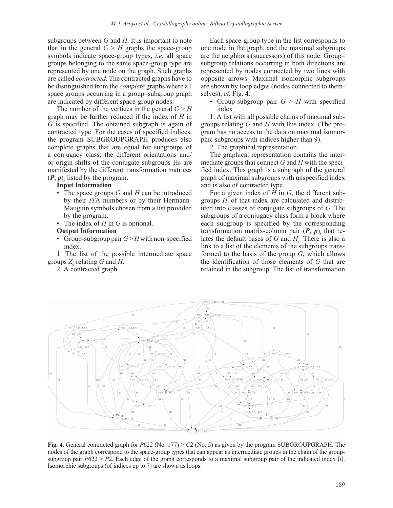subgroups between *G* and *H*. It is important to note that in the general  $G \geq H$  graphs the space-group symbols indicate space-group types, *i.e.* all space groups belonging to the same space-group type are represented by one node on the graph. Such graphs are called *contracted*. The contracted graphs have to be distinguished from the *complete* graphs where all space groups occurring in a group–subgroup graph are indicated by different space-group nodes.

The number of the vertices in the general  $G > H$ graph may be further reduced if the index of *H* in *G* is specified. The obtained subgraph is again of contracted type. For the cases of specified indices, the program SUBGROUPGRAPH produces also complete graphs that are equal for subgroups of a conjugacy class; the different orientations and/ or origin shifts of the conjugate subgroups Hs are manifested by the different transformation matrices  $(P, p)$ <sub>s</sub> listed by the program.

### **Input Information**

- The space groups *G* and *H* can be introduced by their *IT*A numbers or by their Hermann-Mauguin symbols chosen from a list provided by the program.
- The index of *H* in *G* is optional.

#### **Output Information**

• Group-subgroup pair  $G > H$  with non-specified index.

1. The list of the possible intermediate space groups  $Z_k$  relating G and H.

2. A contracted graph.

Each space-group type in the list corresponds to one node in the graph, and the maximal subgroups are the neighbors (successors) of this node. Group– subgroup relations occurring in both directions are represented by nodes connected by two lines with opposite arrows. Maximal isomorphic subgroups are shown by loop edges (nodes connected to themselves), *cf*. Fig. 4.

• Group-subgroup pair  $G > H$  with specified index

1. A list with all possible chains of maximal subgroups relating *G* and *H* with this index. (The program has no access to the data on maximal isomorphic subgroups with indices higher than 9).

2. The graphical representation.

The graphical representation contains the intermediate groups that connect *G* and *H* with the specified index. This graph is a subgraph of the general graph of maximal subgroups with unspecified index and is also of contracted type.

For a given index of *H* in *G*, the different subgroups  $H_j$  of that index are calculated and distributed into classes of conjugate subgroups of *G*. The subgroups of a conjugacy class form a block where each subgroup is specified by the corresponding transformation matrix-column pair  $(P, p)$ <sub>*j*</sub> that relates the default bases of *G* and *Hj* . There is also a link to a list of the elements of the subgroups transformed to the basis of the group *G*, which allows the identification of those elements of *G* that are retained in the subgroup. The list of transformation



**Fig. 4.** General contracted graph for *P*622 (No. 177) > *C*2 (No. 5) as given by the program SUBGROUPGRAPH. The nodes of the graph correspond to the space-group types that can appear as intermediate groups in the chain of the groupsubgroup pair *P*622 > *P*2. Each edge of the graph corresponds to a maximal subgroup pair of the indicated index [*i*]. Isomorphic subgroups (of indices up to 7) are shown as loops.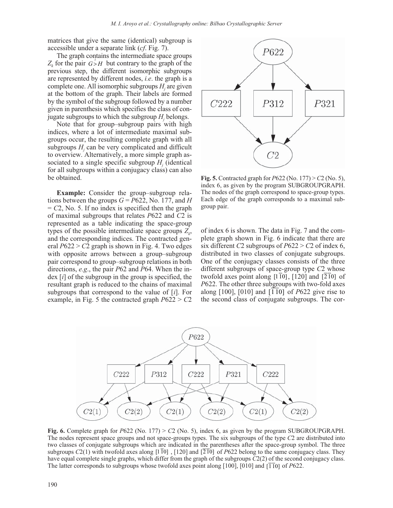matrices that give the same (identical) subgroup is accessible under a separate link (*cf*. Fig. 7).

The graph contains the intermediate space groups  $Z_k$  for the pair  $G > H$  but contrary to the graph of the previous step, the different isomorphic subgroups are represented by different nodes, *i.e*. the graph is a complete one. All isomorphic subgroups  $H_j$  are given at the bottom of the graph. Their labels are formed by the symbol of the subgroup followed by a number given in parenthesis which specifies the class of conjugate subgroups to which the subgroup  $H_i$  belongs.

Note that for group–subgroup pairs with high indices, where a lot of intermediate maximal subgroups occur, the resulting complete graph with all subgroups  $H_j$  can be very complicated and difficult to overview. Alternatively, a more simple graph associated to a single specific subgroup  $H_j$  (identical for all subgroups within a conjugacy class) can also be obtained.

**Example:** Consider the group–subgroup relations between the groups  $G = P622$ , No. 177, and *H*  $= C2$ , No. 5. If no index is specified then the graph of maximal subgroups that relates *P*622 and *C*2 is represented as a table indicating the space-group types of the possible intermediate space groups  $Z_k$ , and the corresponding indices. The contracted general *P*622 > *C*2 graph is shown in Fig. 4. Two edges with opposite arrows between a group–subgroup pair correspond to group–subgroup relations in both directions, *e.g*., the pair *P*62 and *P*64. When the index [*i*] of the subgroup in the group is specified, the resultant graph is reduced to the chains of maximal subgroups that correspond to the value of [*i*]. For example, in Fig. 5 the contracted graph *P*622 > *C*2



**Fig. 5.** Contracted graph for *P*622 (No. 177) > *C*2 (No. 5), index 6, as given by the program SUBGROUPGRAPH. The nodes of the graph correspond to space-group types. Each edge of the graph corresponds to a maximal subgroup pair.

of index 6 is shown. The data in Fig. 7 and the complete graph shown in Fig. 6 indicate that there are six different *C*2 subgroups of *P*622 > *C*2 of index 6, distributed in two classes of conjugate subgroups. One of the conjugacy classes consists of the three different subgroups of space-group type *C*2 whose twofold axes point along  $[1\overline{10}]$ ,  $[120]$  and  $[2\overline{10}]$  of *P*622. The other three subgroups with two-fold axes along [100], [010] and [110] of *P*622 give rise to the second class of conjugate subgroups. The cor-



**Fig. 6.** Complete graph for *P*622 (No. 177) > *C*2 (No. 5), index 6, as given by the program SUBGROUPGRAPH. The nodes represent space groups and not space-groups types. The six subgroups of the type *C*2 are distributed into two classes of conjugate subgroups which are indicated in the parentheses after the space-group symbol. The three subgroups *C*2(1) with twofold axes along [110], [120] and [210] of *P622* belong to the same conjugacy class. They have equal complete single graphs, which differ from the graph of the subgroups *C*2(2) of the second conjugacy class. The latter corresponds to subgroups whose twofold axes point along [100], [010] and [110] of *P*622.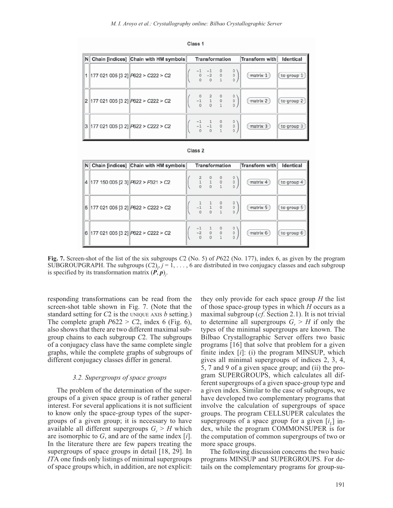| $\mathsf{N}$   | Chain [indices] Chain with HM symbols |                                                                           | <b>Transformation</b> |  |                                                                         |  |                                                 | Transform with | Identical  |  |
|----------------|---------------------------------------|---------------------------------------------------------------------------|-----------------------|--|-------------------------------------------------------------------------|--|-------------------------------------------------|----------------|------------|--|
|                |                                       | $\left  177\ 021\ 005\ 03\ 2 \right $ $\left  P622 \right  > C222 \ge C2$ |                       |  | $\begin{bmatrix} -1 & -1 \\ 0 & -2 \\ 0 & 0 \end{bmatrix}$              |  | $\circ$<br>$\bf{0}$<br>$\bf{0}$                 | matrix 1       | to group 1 |  |
| $\overline{2}$ |                                       | 177 021 005 [3 2] P622 > C222 > C2                                        |                       |  | $\begin{matrix} -1 & 1 \\ 0 & 0 \end{matrix}$                           |  | $\circ$<br>$\begin{matrix} 0 \\ 0 \end{matrix}$ | matrix 2       | to group 2 |  |
|                |                                       | $3$ 177 021 005 [3 2] $P622 > C222 > C2$                                  |                       |  | $\begin{array}{ccc} -1 & 1 & 0 \\ -1 & -1 & 0 \\ 0 & 0 & 1 \end{array}$ |  | $\circ$<br>$\overline{0}$<br>$\mathbf{0}$       | matrix 3       | to group 3 |  |



| $\mathsf{N}$ | Chain [indices] Chain with HM symbols                                           | Transformation |                                                                                                            | Transform with                                         | Identical |            |
|--------------|---------------------------------------------------------------------------------|----------------|------------------------------------------------------------------------------------------------------------|--------------------------------------------------------|-----------|------------|
| 14           | $\left 177\right 150\right 005\left[2\right]$ $\left P622\right $ > $P321$ > C2 |                |                                                                                                            | $\begin{matrix} 0 \\ 0 \end{matrix}$<br>$\overline{0}$ | matrix 4  | to group 4 |
|              | 5 177021005[32] P622 > C222 > C2                                                |                | $\begin{matrix} 1 & 1 \\ -1 & 1 \\ 0 & 0 \end{matrix}$                                                     | $\begin{matrix} 0 \\ 0 \end{matrix}$                   | matrix 5  | to group 5 |
| 6            | $\left 177\ 021\ 005\ 03\ 2\right $ $\left P622\right $ > C222 > C2             |                | $\begin{array}{ccc} -1 & \quad 1 & \quad 0 \\ -2 & \quad 0 & \quad 0 \\ 0 & \quad 0 & \quad 1 \end{array}$ | $\begin{matrix} 0 \\ 0 \end{matrix}$<br>$\mathbf{0}$   | matrix 6  | to group 6 |

Class<sub>2</sub>

**Fig. 7.** Screen-shot of the list of the six subgroups *C*2 (No. 5) of *P*622 (No. 177), index 6, as given by the program SUBGROUPGRAPH. The subgroups  $(C2)_{j}$ ,  $j = 1, ..., 6$  are distributed in two conjugacy classes and each subgroup is specified by its transformation matrix  $(P, p)$ <sub>*j*</sub>.

responding transformations can be read from the screen-shot table shown in Fig. 7. (Note that the standard setting for *C*2 is the UNIQUE AXIS *b* setting.) The complete graph  $P622 > C2$ , index 6 (Fig. 6), also shows that there are two different maximal subgroup chains to each subgroup *C*2. The subgroups of a conjugacy class have the same complete single graphs, while the complete graphs of subgroups of different conjugacy classes differ in general.

### *3.2. Supergroups of space groups*

The problem of the determination of the supergroups of a given space group is of rather general interest. For several applications it is not sufficient to know only the space-group types of the supergroups of a given group; it is necessary to have available all different supergroups  $G_r > H$  which are isomorphic to *G*, and are of the same index [*i*]. In the literature there are few papers treating the supergroups of space groups in detail [18, 29]. In *IT*A one finds only listings of minimal supergroups of space groups which, in addition, are not explicit:

they only provide for each space group *H* the list of those space-group types in which *H* occurs as a maximal subgroup (*cf*. Section 2.1). It is not trivial to determine all supergroups  $G_r > H$  if only the types of the minimal supergroups are known. The Bilbao Crystallographic Server offers two basic programs [16] that solve that problem for a given finite index [*i*]: (i) the program MINSUP, which gives all minimal supergroups of indices 2, 3, 4, 5, 7 and 9 of a given space group; and (ii) the program SUPERGROUPS, which calculates all different supergroups of a given space-group type and a given index. Similar to the case of subgroups, we have developed two complementary programs that involve the calculation of supergroups of space groups. The program CELLSUPER calculates the supergroups of a space group for a given  $[i_1]$  index, while the program COMMONSUPER is for the computation of common supergroups of two or more space groups.

The following discussion concerns the two basic programs MINSUP and SUPERGROUPS. For details on the complementary programs for group-su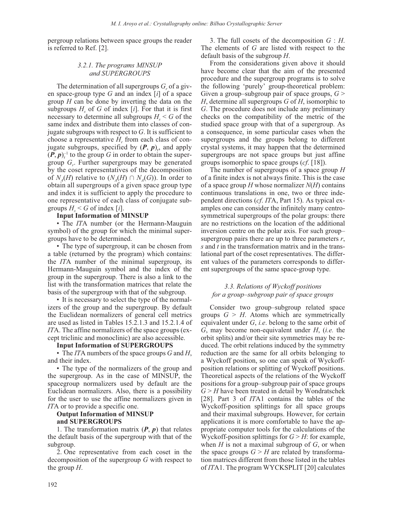pergroup relations between space groups the reader is referred to Ref. [2].

## *3.2.1. The programs MINSUP and SUPERGROUPS*

The determination of all supergroups  $G_r$  of a given space-group type *G* and an index [*i*] of a space group *H* can be done by inverting the data on the subgroups  $H_s$  of  $G$  of index [ $i$ ]. For that it is first necessary to determine all subgroups  $H_s < G$  of the same index and distribute them into classes of conjugate subgroups with respect to *G*. It is sufficient to choose a representative  $H_r$  from each class of conjugate subgroups, specified by  $(P, p)$ <sub>r</sub>, and apply  $(P, p)_r^{-1}$  to the group  $G$  in order to obtain the supergroup *Gr* . Further supergroups may be generated by the coset representatives of the decomposition of  $N_A(H)$  relative to  $(N_A(H) \cap N_A(G))$ . In order to obtain all supergroups of a given space group type and index it is sufficient to apply the procedure to one representative of each class of conjugate subgroups  $H_s \leq G$  of index [*i*].

### **Input Information of MINSUP**

• The *ITA* number (or the Hermann-Mauguin symbol) of the group for which the minimal supergroups have to be determined.

• The type of supergroup, it can be chosen from a table (returned by the program) which contains: the *IT*A number of the minimal supergroup, its Hermann-Mauguin symbol and the index of the group in the supergroup. There is also a link to the list with the transformation matrices that relate the basis of the supergroup with that of the subgroup.

• It is necessary to select the type of the normalizers of the group and the supergroup. By default the Euclidean normalizers of general cell metrics are used as listed in Tables 15.2.1.3 and 15.2.1.4 of *IT*A. The affine normalizers of the space groups (except triclinic and monoclinic) are also accessible.

### **Input Information of SUPERGROUPS**

• The *IT*A numbers of the space groups *G* and *H*, and their index.

• The type of the normalizers of the group and the supergroup. As in the case of MINSUP, the spacegroup normalizers used by default are the Euclidean normalizers. Also, there is a possibility for the user to use the affine normalizers given in *IT*A or to provide a specific one.

## **Output Information of MINSUP and SUPERGROUPS**

1. The transformation matrix  $(P, p)$  that relates the default basis of the supergroup with that of the subgroup.

2. One representative from each coset in the decomposition of the supergroup *G* with respect to the group *H*.

3. The full cosets of the decomposition *G* : *H*. The elements of *G* are listed with respect to the default basis of the subgroup *H*.

From the considerations given above it should have become clear that the aim of the presented procedure and the supergroup programs is to solve the following 'purely' group-theoretical problem: Given a group–subgroup pair of space groups,  $G$  > *H*, determine all supergroups *G* of *H*, isomorphic to *G*. The procedure does not include any preliminary checks on the compatibility of the metric of the studied space group with that of a supergroup. As a consequence, in some particular cases when the supergroups and the groups belong to different crystal systems, it may happen that the determined supergroups are not space groups but just affine groups isomorphic to space groups (*cf*. [18]).

The number of supergroups of a space group *H* of a finite index is not always finite. This is the case of a space group *H* whose normalizer *N*(*H*) contains continuous translations in one, two or three independent directions (*cf*. *IT*A, Part 15). As typical examples one can consider the infinitely many centrosymmetrical supergroups of the polar groups: there are no restrictions on the location of the additional inversion centre on the polar axis. For such group– supergroup pairs there are up to three parameters *r*, *s* and *t* in the transformation matrix and in the translational part of the coset representatives. The different values of the parameters corresponds to different supergroups of the same space-group type.

## *3.3. Relations of Wyckoff positions for a group–subgroup pair of space groups*

Consider two group–subgroup related space groups  $G > H$ . Atoms which are symmetrically equivalent under *G*, *i.e*. belong to the same orbit of *G*, may become non-equivalent under *H*, (*i.e.* the orbit splits) and/or their site symmetries may be reduced. The orbit relations induced by the symmetry reduction are the same for all orbits belonging to a Wyckoff position, so one can speak of Wyckoffposition relations or splitting of Wyckoff positions. Theoretical aspects of the relations of the Wyckoff positions for a group–subgroup pair of space groups  $G \geq H$  have been treated in detail by Wondratschek [28]. Part 3 of *IT*A1 contains the tables of the Wyckoff-position splittings for all space groups and their maximal subgroups. However, for certain applications it is more comfortable to have the appropriate computer tools for the calculations of the Wyckoff-position splittings for  $G > H$ : for example, when *H* is not a maximal subgroup of *G*, or when the space groups  $G > H$  are related by transformation matrices different from those listed in the tables of *IT*A1. The program WYCKSPLIT [20] calculates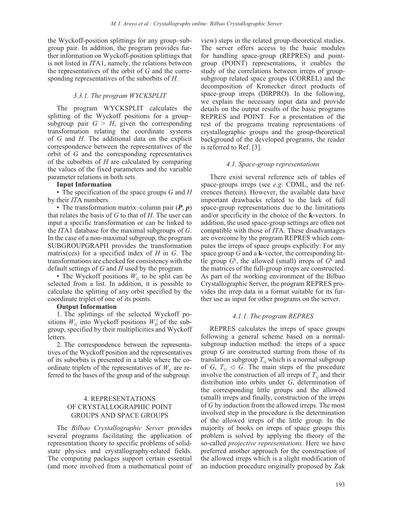the Wyckoff-position splittings for any group–subgroup pair. In addition, the program provides further information on Wyckoff-position splittings that is not listed in *IT*A1, namely, the relations between the representatives of the orbit of *G* and the corresponding representatives of the suborbits of *H*.

### *3.3.1. The program WYCKSPLIT*

The program WYCKSPLIT calculates the splitting of the Wyckoff positions for a group– subgroup pair  $G > H$ , given the corresponding transformation relating the coordinate systems of *G* and *H*. The additional data on the explicit correspondence between the representatives of the orbit of *G* and the corresponding representatives of the suborbits of *H* are calculated by comparing the values of the fixed parameters and the variable parameter relations in both sets.

#### **Input Information**

• The specification of the space groups *G* and *H* by their *IT*A numbers.

• The transformation matrix–column pair (*P*, *p*) that relates the basis of *G* to that of *H*. The user can input a specific transformation or can be linked to the *IT*A1 database for the maximal subgroups of *G*. In the case of a non-maximal subgroup, the program SUBGROUPGRAPH provides the transformation matrix(ces) for a specified index of *H* in *G*. The transformations are checked for consistency with the default settings of *G* and *H* used by the program.

• The Wyckoff positions  $W<sub>G</sub>$  to be split can be selected from a list. In addition, it is possible to calculate the splitting of any orbit specified by the coordinate triplet of one of its points.

#### **Output Information**

1. The splittings of the selected Wyckoff positions  $W_G$  into Wyckoff positions  $W_H^l$  of the subgroup, specified by their multiplicities and Wyckoff letters.

2. The correspondence between the representatives of the Wyckoff position and the representatives of its suborbits is presented in a table where the coordinate triplets of the representatives of  $W<sub>G</sub>$  are referred to the bases of the group and of the subgroup.

## 4. REPRESENTATIONS OF CRYSTALLOGRAPHIC POINT GROUPS AND SPACE GROUPS

The *Bilbao Crystallographic Server* provides several programs facilitating the application of representation theory to specific problems of solidstate physics and crystallography-related fields. The computing packages support certain essential (and more involved from a mathematical point of view) steps in the related group-theoretical studies. The server offers access to the basic modules for handling space-group (REPRES) and pointgroup (POINT) representations, it enables the study of the correlations between irreps of groupsubgroup related space groups (CORREL) and the decomposition of Kronecker direct products of space-group irreps (DIRPRO). In the following, we explain the necessary input data and provide details on the output results of the basic programs REPRES and POINT. For a presentation of the rest of the programs treating representations of crystallographic groups and the group-theoretical background of the developed programs, the reader is referred to Ref. [3].

### *4.1. Space-group representations*

There exist several reference sets of tables of space-groups irreps (see *e.g*. CDML, and the references therein). However, the available data have important drawbacks related to the lack of full space-group representations due to the limitations and/or specificity in the choice of the **k**-vectors. In addition, the used space-group settings are often not compatible with those of *IT*A. These disadvantages are overcome by the program REPRES which computes the irreps of space groups explicitly: For any space group *G* and a **k**-vector, the corresponding little group  $G^k$ , the allowed (small) irreps of  $G^k$  and the matrices of the full-group irreps are constructed. As part of the working environment of the Bilbao Crystallographic Server, the program REPRES provides the irrep data in a format suitable for its further use as input for other programs on the server.

### *4.1.1. The program REPRES*

REPRES calculates the irreps of space groups following a general scheme based on a normalsubgroup induction method: the irreps of a space group *G* are constructed starting from those of its translation subgroup  $T_G$  which is a normal subgroup of *G*,  $T<sub>G</sub> \triangleleft G$ . The main steps of the procedure involve the construction of all irreps of  $T<sub>G</sub>$  and their distribution into orbits under *G*, determination of the corresponding little groups and the allowed (small) irreps and finally, construction of the irreps of *G* by induction from the allowed irreps. The most involved step in the procedure is the determination of the allowed irreps of the little group. In the majority of books on irreps of space groups this problem is solved by applying the theory of the so-called *projective representations*. Here we have preferred another approach for the construction of the allowed irreps which is a slight modification of an induction procedure originally proposed by Zak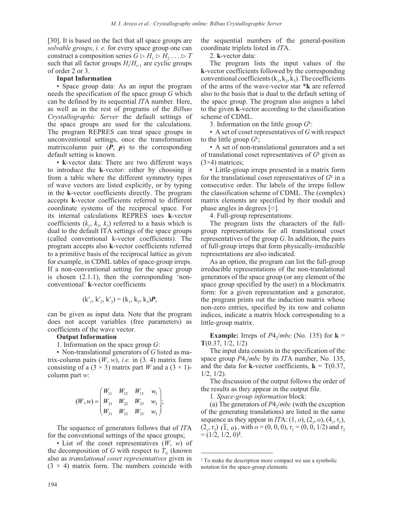[30]. It is based on the fact that all space groups are *solvable groups*, *i. e.* for every space group one can construct a composition series  $G \triangleright H_1 \triangleright H_2 \ldots \triangleright T$ such that all factor groups  $H_i/H_{i+1}$  are cyclic groups of order 2 or 3.

### **Input Information**

• Space group data: As an input the program needs the specification of the space group *G* which can be defined by its sequential *IT*A number. Here, as well as in the rest of programs of the *Bilbao Crystallographic Server* the default settings of the space groups are used for the calculations. The program REPRES can treat space groups in unconventional settings, once the transformation matrixcolumn pair  $(P, p)$  to the corresponding default setting is known.

• **k**-vector data: There are two different ways to introduce the **k**-vector: either by choosing it from a table where the different symmetry types of wave vectors are listed explicitly, or by typing in the **k**-vector coefficients directly. The program accepts **k**-vector coefficients referred to different coordinate systems of the reciprocal space. For its internal calculations REPRES uses **k**-vector coefficients  $(k_1, k_2, k_3)$  referred to a basis which is dual to the default ITA settings of the space groups (called conventional k-vector coefficients). The program accepts also **k**-vector coefficients referred to a primitive basis of the reciprocal lattice as given for example, in CDML tables of space-group irreps. If a non-conventional setting for the space group is chosen (2.1.1), then the corresponding 'nonconventional' **k**-vector coefficients

$$
({\bf k}'_1, {\bf k}'_2, {\bf k}'_3) = ({\bf k}_1, {\bf k}_2, {\bf k}_3) \boldsymbol{P},
$$

can be given as input data. Note that the program does not accept variables (free parameters) as coefficients of the wave vector.

#### **Output Information**

1. Information on the space group *G*:

• Non-translational generators of *G* listed as matrix-column pairs  $(W, w)$ , *i.e.* in  $(3, 4)$  matrix form consisting of a  $(3 \times 3)$  matrix part *W* and a  $(3 \times 1)$ column part *w*:

$$
(W, w) = \begin{pmatrix} W_{11} & W_{12} & W_{13} & w_1 \\ W_{21} & W_{22} & W_{23} & w_2 \\ W_{31} & W_{32} & W_{33} & w_3 \end{pmatrix};
$$

The sequence of generators follows that of *IT*A for the conventional settings of the space groups;

• List of the coset representatives (*W*, *w*) of the decomposition of *G* with respect to  $T_G$  (known also as *translational coset representatives* given in  $(3 \times 4)$  matrix form. The numbers coincide with the sequential numbers of the general-position coordinate triplets listed in *IT*A.

2. **k**-vector data:

The program lists the input values of the **k**-vector coefficients followed by the corresponding conventional coefficients  $(k_1, k_2, k_3)$ . The coefficients of the arms of the wave-vector star \***k** are referred also to the basis that is dual to the default setting of the space group. The program also asignes a label to the given **k**-vector according to the classification scheme of CDML.

3. Information on the little group *G*<sup>k</sup> :

• A set of coset representatives of *G* with respect to the little group  $G^k$ ;

• A set of non-translational generators and a set of translational coset representatives of *G*<sup>k</sup> given as (3×4) matrices;

• Little-group irreps presented in a matrix form for the translational coset representatives of  $G<sup>k</sup>$  in a consecutive order. The labels of the irreps follow the classification scheme of CDML. The (complex) matrix elements are specified by their moduli and phase angles in degrees [○].

4. Full-group representations:

The program lists the characters of the fullgroup representations for all translational coset representatives of the group *G*. In addition, the pairs of full-group irreps that form physically-irreducible representations are also indicated.

As an option, the program can list the full-group irreducible representations of the non-translational generators of the space group (or any element of the space group specified by the user) in a blockmatrix form: for a given representation and a generator, the program prints out the induction matrix whose non-zero entries, specified by its row and column indices, indicate a matrix block corresponding to a little-group matrix.

**Example:** Irreps of  $P4_2/mbc$  (No. 135) for  $\mathbf{k} =$ **T**(0.37, 1/2, 1/2)

The input data consists in the specification of the space group *P*4<sub>2</sub>/*mbc* by its *ITA* number, No. 135, and the data for **k**-vector coefficients,  $\mathbf{k} = T(0.37, \dots)$ 1/2, 1/2).

The discussion of the output follows the order of the results as they appear in the output file.

1. *Space-group information* block:

(a) The generators of  $P4/mbc$  (with the exception of the generating translations) are listed in the same sequence as they appear in *IT*A:  $(1, o)$ ,  $(2_z, o)$ ,  $(4_z, \tau_1)$ ,  $(2_v, \tau_2)$   $(\overline{1}, o)$ , with  $o = (0, 0, 0)$ ,  $\tau_1 = (0, 0, 1/2)$  and  $\tau_2$  $=(1/2, 1/2, 0)^2$ .

<sup>2</sup> To make the description more compact we use a symbolic notation for the space-group elements.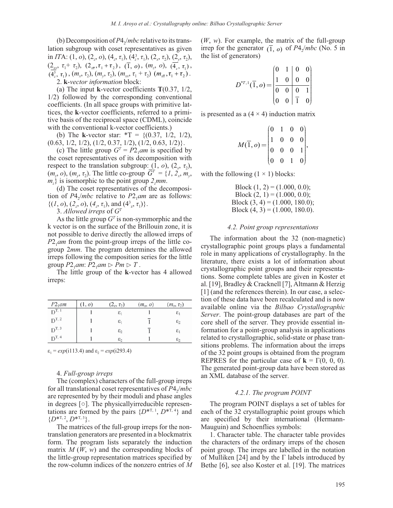(b) Decomposition of  $P4/mbc$  relative to its translation subgroup with coset representatives as given in *IT*A: (1, *o*), (2<sub>*z*</sub>, *o*), (4*<sub><i>z*</sub>, *τ*<sub>1</sub>), (4<sup>*3*</sup>, *τ*<sub>1</sub>), (2<sub>*x*</sub>, *τ*<sub>2</sub>), (2<sub>*y*</sub>, *τ*<sub>2</sub>),  $(2_{\text{xx}}, \tau_1 + \tau_2), (2_{\text{xx}}, \tau_1 + \tau_2), (\overline{1}, o), (m_z, o), (\overline{4_z}, \tau_1),$ <br>  $(4^3, \tau_1, (m_z, \tau_1), (m_z, \tau_2), (m_z, \tau_1 + \tau_2), (m_z, \tau_1 + \tau_2),$  $\overline{(\mathcal{A}^3_2, \tau_1)}, (m_x, \tau_2), (m_y, \tau_2), (m_{xx}, \tau_1 + \tau_2), (m_{xx}, \tau_1 + \tau_2).$ 2. **k**-*vector information* block:

(a) The input **k**-vector coefficients **T**(0.37, 1/2, 1/2) followed by the corresponding conventional coefficients. (In all space groups with primitive lattices, the **k**-vector coefficients, referred to a primitive basis of the reciprocal space (CDML), coincide with the conventional k-vector coefficients.)

(b) The **k**-vector star: \*T = {(0.37, 1/2, 1/2),  $(0.63, 1/2, 1/2), (1/2, 0.37, 1/2), (1/2, 0.63, 1/2)$ .

(c) The little group  $G^T = P2_1$ *am* is specified by the coset representatives of its decomposition with respect to the translation subgroup:  $(1, o), (2, \tau_2)$ ,  $(m_z, o), (m_y, \tau_z)$ . The little co-group  $\overline{G}^T = \{1, 2, m_y, \tau_z\}$  $m_z$ } is isomorphic to the point group  $2_z$ *mm*.

(d) The coset representatives of the decomposition of  $P4$ <sub>/</sub>*mbc* relative to  $P2$ <sub>1</sub>*am* are as follows:  $\{(1, o), (2<sub>z</sub><sup>2</sup>, o), (4<sub>z</sub>, \tau<sub>1</sub>), and (4<sup>3</sup><sub>z</sub>, \tau<sub>1</sub>)\}.$ 

3. *Allowed irreps* of *GT*

As the little group  $G<sup>T</sup>$  is non-symmorphic and the k vector is on the surface of the Brillouin zone, it is not possible to derive directly the allowed irreps of  $P2_1$ *am* from the point-group irreps of the little cogroup 2*mm*. The program determines the allowed irreps following the composition series for the little group  $P2_1$ *am*:  $P2_1$ *am*  $\triangleright$   $Pm \triangleright T$ .

The little group of the **k**-vector has 4 allowed irreps:

| $P2_1$ am  | (1, o) | $(2_x, \tau_2)$ | $(m_x, o)$ | $(m_x, \tau_2)$ |
|------------|--------|-----------------|------------|-----------------|
| $D^{T, 1}$ |        | $\varepsilon_1$ |            | $\varepsilon_1$ |
| $D^{T, 2}$ |        | $\varepsilon_1$ |            | $\varepsilon_2$ |
| $D^{T, 3}$ |        | $\varepsilon_2$ |            | $\varepsilon_1$ |
| $D^{T, 4}$ |        | $\varepsilon_2$ |            | $\varepsilon_2$ |

 $\varepsilon_1 = exp(i113.4)$  and  $\varepsilon_2 = exp(i293.4)$ 

#### 4. *Full-group irreps*

The (complex) characters of the full-group irreps for all translational coset representatives of *P*4<sub>2</sub>/*mbc* are represented by by their moduli and phase angles in degrees [○]. The physicallyirreducible representations are formed by the pairs  $\{D^{*T, 1}, D^{*T, 4}\}\$  and  ${D^{*T, 2}, D^{*T, 3}}$ .

The matrices of the full-group irreps for the nontranslation generators are presented in a blockmatrix form. The program lists separately the induction matrix *M* (*W*, *w*) and the corresponding blocks of the little-group representation matrices specified by the row-column indices of the nonzero entries of *M* (*W*, *w*). For example, the matrix of the full-group irrep for the generator  $(\overline{1}, o)$  of  $P4_2/mbc$  (No. 5 in the list of generators)

$$
D^{*T,1}(\overline{1},o) = \begin{pmatrix} 0 & 1 & 0 & 0 \\ 1 & 0 & 0 & 0 \\ 0 & 0 & 0 & 1 \\ 0 & 0 & 1 & 0 \end{pmatrix}
$$

is presented as a  $(4 \times 4)$  induction matrix

$$
M(\overline{1}, o) = \begin{pmatrix} 0 & 1 & 0 & 0 \\ 1 & 0 & 0 & 0 \\ 0 & 0 & 0 & 1 \\ 0 & 0 & 1 & 0 \end{pmatrix},
$$

with the following  $(1 \times 1)$  blocks:

Block  $(1, 2) = (1.000, 0.0);$ Block  $(2, 1) = (1.000, 0.0);$ Block  $(3, 4) = (1.000, 180.0);$ Block  $(4, 3) = (1.000, 180.0)$ .

#### *4.2. Point group representations*

The information about the 32 (non-magnetic) crystallographic point groups plays a fundamental role in many applications of crystallography. In the literature, there exists a lot of information about crystallographic point groups and their representations. Some complete tables are given in Koster et al. [19], Bradley & Cracknell [7], Altmann & Herzig [1] (and the references therein). In our case, a selection of these data have been recalculated and is now available online via the *Bilbao Crystallographic Server*. The point-group databases are part of the core shell of the server. They provide essential information for a point-group analysis in applications related to crystallographic, solid-state or phase transitions problems. The information about the irreps of the 32 point groups is obtained from the program REPRES for the particular case of  $\mathbf{k} = \Gamma(0, 0, 0)$ . The generated point-group data have been stored as an XML database of the server.

#### *4.2.1. The program POINT*

The program POINT displays a set of tables for each of the 32 crystallographic point groups which are specified by their international (Hermann-Mauguin) and Schoenflies symbols:

1. Character table. The character table provides the characters of the ordinary irreps of the chosen point group. The irreps are labelled in the notation of Mulliken [24] and by the Γ labels introduced by Bethe [6], see also Koster et al. [19]. The matrices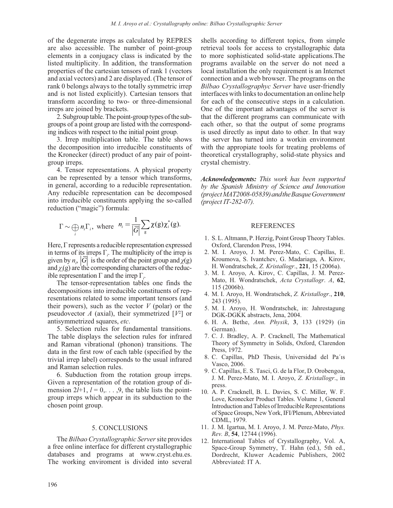of the degenerate irreps as calculated by REPRES are also accessible. The number of point-group elements in a conjugacy class is indicated by the listed multiplicity. In addition, the transformation properties of the cartesian tensors of rank 1 (vectors and axial vectors) and 2 are displayed. (The tensor of rank 0 belongs always to the totally symmetric irrep and is not listed explicitly). Cartesian tensors that transform according to two- or three-dimensional irreps are joined by brackets.

2. Subgroup table. The point-group types of the subgroups of a point group are listed with the corresponding indices with respect to the initial point group.

3. Irrep multiplication table. The table shows the decomposition into irreducible constituents of the Kronecker (direct) product of any pair of pointgroup irreps.

4. Tensor representations. A physical property can be represented by a tensor which transforms, in general, according to a reducible representation. Any reducible representation can be decomposed into irreducible constituents applying the so-called reduction ("magic") formula:

$$
\Gamma \sim \bigoplus_i n_i \Gamma_i, \text{ where } n_i = \frac{1}{|\overline{G}|} \sum_{g} \chi(g) \chi_i^*(g).
$$

Here, Γ represents a reducible representation expressed in terms of its irreps  $\Gamma_i$ . The multiplicity of the irrep is given by  $n_i$ ,  $|\overline{G}|$  is the order of the point group and  $\chi(g)$ and  $\chi_i$ (g) are the corresponding characters of the reducible representation  $Γ$  and the irrep  $Γ_i$ .

The tensor-representation tables one finds the decompositions into irreducible constituents of representations related to some important tensors (and their powers), such as the vector  $V$  (polar) or the pseudovector  $A$  (axial), their symmetrized  $[V^2]$  or antisymmetrized squares, *etc*.

5. Selection rules for fundamental transitions. The table displays the selection rules for infrared and Raman vibrational (phonon) transitions. The data in the first row of each table (specified by the trivial irrep label) corresponds to the usual infrared and Raman selection rules.

6. Subduction from the rotation group irreps. Given a representation of the rotation group of dimension  $2l+1$ ,  $l = 0, \ldots, 9$ , the table lists the pointgroup irreps which appear in its subduction to the chosen point group.

#### 5. CONCLUSIONS

The *Bilbao Crystallographic Server* site provides a free online interface for different crystallographic databases and programs at www.cryst.ehu.es. The working enviroment is divided into several

shells according to different topics, from simple retrieval tools for access to crystallographic data to more sophisticated solid-state applications.The programs available on the server do not need a local installation the only requirement is an Internet connection and a web browser. The programs on the *Bilbao Crystallographyc Server* have user-friendly interfaces with links to documentation an online help for each of the consecutive steps in a calculation. One of the important advantages of the server is that the different programs can communicate with each other, so that the output of some programs is used directly as input dato to other. In that way the server has turned into a workin environment with the appropiate tools for treating problems of theoretical crystallography, solid-state physics and crystal chemistry.

*Acknowledgements: This work has been supported by the Spanish Ministry of Science and Innovation (project MAT2008-05839) and the Basque Government (project IT-282-07).*

#### REFERENCES

- 1. S. L. Altmann, P. Herzig, Point Group Theory Tables. Oxford, Clarendon Press, 1994.
- 2. M. I. Aroyo, J. M. Perez-Mato, C. Capillas, E. Kroumova, S. Ivantchev, G. Madariaga, A. Kirov, H. Wondratschek, *Z. Kristallogr*., **221**, 15 (2006a).
- 3. M. I. Aroyo, A. Kirov, C. Capillas, J. M. Perez-Mato, H. Wondratschek, *Acta Crystallogr*. *A*, **62**, 115 (2006b).
- 4. M. I. Aroyo, H. Wondratschek, *Z. Kristallogr*., **210**, 243 (1995).
- 5. M. I. Aroyo, H. Wondratschek, in: Jahrestagung DGK-DGKK abstracts, Jena, 2004.
- 6. H. A. Bethe, *Ann. Physik*, **3**, 133 (1929) (in German).
- 7. C. J. Bradley, A. P. Cracknell, The Mathematical Theory of Symmetry in Solids, Oxford, Clarendon Press, 1972.
- 8. C. Capillas, PhD Thesis, Universidad del Pa´ıs Vasco, 2006.
- 9. C. Capillas, E. S. Tasci, G. de la Flor, D. Orobengoa, J. M. Perez-Mato, M. I. Aroyo, *Z. Kristallogr*., in press.
- 10. A. P. Cracknell, B. L. Davies, S. C. Miller, W. F. Love, Kronecker Product Tables. Volume 1, General Introduction and Tables of Irreducible Representations of Space Groups, New York, IFI/Plenum, Abbreviated CDML, 1979.
- 11. J. M. Igartua, M. I. Aroyo, J. M. Perez-Mato, *Phys. Rev. B*, **54**, 12744 (1996).
- 12. International Tables of Crystallography, Vol. A, Space-Group Symmetry, T. Hahn (ed.), 5th ed., Dordrecht, Kluwer Academic Publishers, 2002 Abbreviated: IT A.